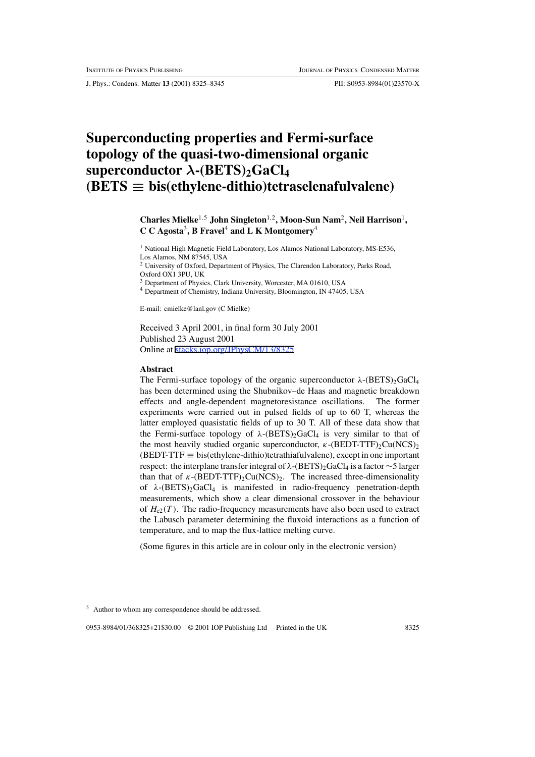J. Phys.: Condens. Matter **13** (2001) 8325–8345 PII: S0953-8984(01)23570-X

# **Superconducting properties and Fermi-surface topology of the quasi-two-dimensional organic superconductor**  $\lambda$ -(BETS)<sub>2</sub>GaCl<sub>4</sub>  $(BETS \equiv bis(ethylene-dithio)tetraselenafulvalene)$

**Charles Mielke**<sup>1</sup>,<sup>5</sup> **John Singleton**<sup>1</sup>,<sup>2</sup>**, Moon-Sun Nam**<sup>2</sup>**, Neil Harrison**<sup>1</sup>**, C C Agosta**<sup>3</sup>**, B Fravel** <sup>4</sup> **and L K Montgomery**<sup>4</sup>

<sup>1</sup> National High Magnetic Field Laboratory, Los Alamos National Laboratory, MS-E536, Los Alamos, NM 87545, USA

<sup>2</sup> University of Oxford, Department of Physics, The Clarendon Laboratory, Parks Road, Oxford OX1 3PU, UK

<sup>3</sup> Department of Physics, Clark University, Worcester, MA 01610, USA

<sup>4</sup> Department of Chemistry, Indiana University, Bloomington, IN 47405, USA

E-mail: cmielke@lanl.gov (C Mielke)

Received 3 April 2001, in final form 30 July 2001 Published 23 August 2001 Online at [stacks.iop.org/JPhysCM/13/8325](http://stacks.iop.org/cm/13/8325)

#### **Abstract**

The Fermi-surface topology of the organic superconductor  $\lambda$ -(BETS)<sub>2</sub>GaCl<sub>4</sub> has been determined using the Shubnikov–de Haas and magnetic breakdown effects and angle-dependent magnetoresistance oscillations. The former experiments were carried out in pulsed fields of up to 60 T, whereas the latter employed quasistatic fields of up to 30 T. All of these data show that the Fermi-surface topology of  $\lambda$ -(BETS)<sub>2</sub>GaCl<sub>4</sub> is very similar to that of the most heavily studied organic superconductor,  $\kappa$ -(BEDT-TTF)<sub>2</sub>Cu(NCS)<sub>2</sub>  $(BEDT-TTF \equiv bis(ethylene-dithio) tetrathiafulvalene)$ , except in one important respect: the interplane transfer integral of  $\lambda$ -(BETS)<sub>2</sub>GaCl<sub>4</sub> is a factor ∼5 larger than that of  $\kappa$ -(BEDT-TTF)<sub>2</sub>Cu(NCS)<sub>2</sub>. The increased three-dimensionality of  $\lambda$ -(BETS)<sub>2</sub>GaCl<sub>4</sub> is manifested in radio-frequency penetration-depth measurements, which show a clear dimensional crossover in the behaviour of  $H_{c2}(T)$ . The radio-frequency measurements have also been used to extract the Labusch parameter determining the fluxoid interactions as a function of temperature, and to map the flux-lattice melting curve.

(Some figures in this article are in colour only in the electronic version)

<sup>5</sup> Author to whom any correspondence should be addressed.

0953-8984/01/368325+21\$30.00 © 2001 IOP Publishing Ltd Printed in the UK 8325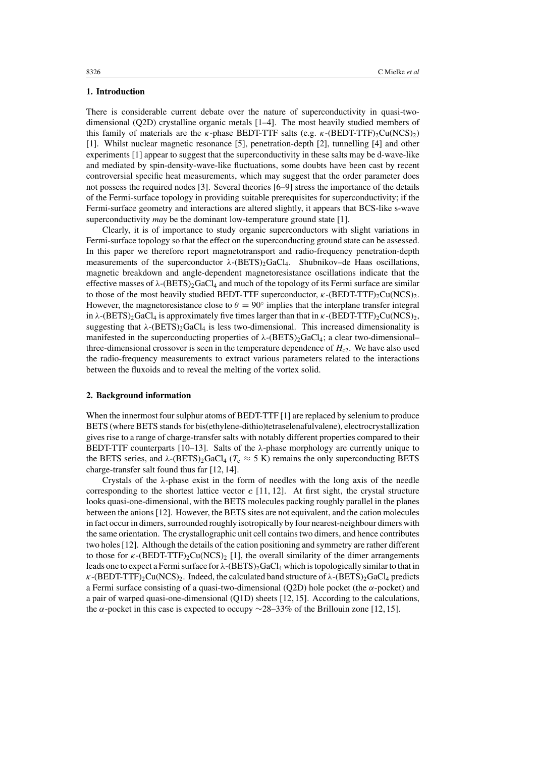## **1. Introduction**

There is considerable current debate over the nature of superconductivity in quasi-twodimensional (Q2D) crystalline organic metals [1–4]. The most heavily studied members of this family of materials are the  $\kappa$ -phase BEDT-TTF salts (e.g.  $\kappa$ -(BEDT-TTF)<sub>2</sub>Cu(NCS)<sub>2</sub>) [1]. Whilst nuclear magnetic resonance [5], penetration-depth [2], tunnelling [4] and other experiments [1] appear to suggest that the superconductivity in these salts may be d-wave-like and mediated by spin-density-wave-like fluctuations, some doubts have been cast by recent controversial specific heat measurements, which may suggest that the order parameter does not possess the required nodes [3]. Several theories [6–9] stress the importance of the details of the Fermi-surface topology in providing suitable prerequisites for superconductivity; if the Fermi-surface geometry and interactions are altered slightly, it appears that BCS-like s-wave superconductivity *may* be the dominant low-temperature ground state [1].

Clearly, it is of importance to study organic superconductors with slight variations in Fermi-surface topology so that the effect on the superconducting ground state can be assessed. In this paper we therefore report magnetotransport and radio-frequency penetration-depth measurements of the superconductor  $\lambda$ -(BETS)<sub>2</sub>GaCl<sub>4</sub>. Shubnikov–de Haas oscillations, magnetic breakdown and angle-dependent magnetoresistance oscillations indicate that the effective masses of  $\lambda$ -(BETS)<sub>2</sub>GaCl<sub>4</sub> and much of the topology of its Fermi surface are similar to those of the most heavily studied BEDT-TTF superconductor,  $\kappa$ -(BEDT-TTF)<sub>2</sub>Cu(NCS)<sub>2</sub>. However, the magnetoresistance close to  $\theta = 90^\circ$  implies that the interplane transfer integral in  $\lambda$ -(BETS)<sub>2</sub>GaCl<sub>4</sub> is approximately five times larger than that in  $\kappa$ -(BEDT-TTF)<sub>2</sub>Cu(NCS)<sub>2</sub>, suggesting that  $\lambda$ -(BETS)<sub>2</sub>GaCl<sub>4</sub> is less two-dimensional. This increased dimensionality is manifested in the superconducting properties of  $\lambda$ -(BETS)<sub>2</sub>GaCl<sub>4</sub>; a clear two-dimensional– three-dimensional crossover is seen in the temperature dependence of  $H_{c2}$ . We have also used the radio-frequency measurements to extract various parameters related to the interactions between the fluxoids and to reveal the melting of the vortex solid.

#### **2. Background information**

When the innermost four sulphur atoms of BEDT-TTF [1] are replaced by selenium to produce BETS (where BETS stands for bis(ethylene-dithio)tetraselenafulvalene), electrocrystallization gives rise to a range of charge-transfer salts with notably different properties compared to their BEDT-TTF counterparts  $[10-13]$ . Salts of the  $\lambda$ -phase morphology are currently unique to the BETS series, and  $\lambda$ -(BETS)<sub>2</sub>GaCl<sub>4</sub> ( $T_c \approx 5$  K) remains the only superconducting BETS charge-transfer salt found thus far [12, 14].

Crystals of the  $\lambda$ -phase exist in the form of needles with the long axis of the needle corresponding to the shortest lattice vector  $c$  [11, 12]. At first sight, the crystal structure looks quasi-one-dimensional, with the BETS molecules packing roughly parallel in the planes between the anions[12]. However, the BETS sites are not equivalent, and the cation molecules in fact occur in dimers, surrounded roughly isotropically by four nearest-neighbour dimers with the same orientation. The crystallographic unit cell containstwo dimers, and hence contributes two holes[12]. Although the details of the cation positioning and symmetry are rather different to those for  $\kappa$ -(BEDT-TTF)<sub>2</sub>Cu(NCS)<sub>2</sub> [1], the overall similarity of the dimer arrangements leads one to expect a Fermi surface for  $\lambda$ -(BETS)<sub>2</sub>GaCl<sub>4</sub> which is topologically similar to that in  $\kappa$ -(BEDT-TTF)<sub>2</sub>Cu(NCS)<sub>2</sub>. Indeed, the calculated band structure of  $\lambda$ -(BETS)<sub>2</sub>GaCl<sub>4</sub> predicts a Fermi surface consisting of a quasi-two-dimensional (Q2D) hole pocket (the  $\alpha$ -pocket) and a pair of warped quasi-one-dimensional (Q1D) sheets [12,15]. According to the calculations, the  $\alpha$ -pocket in this case is expected to occupy ∼28–33% of the Brillouin zone [12, 15].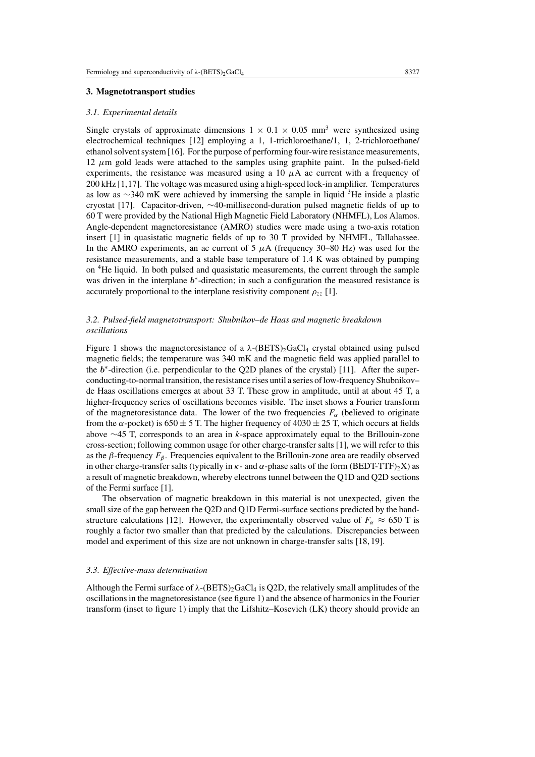### **3. Magnetotransport studies**

#### *3.1. Experimental details*

Single crystals of approximate dimensions  $1 \times 0.1 \times 0.05$  mm<sup>3</sup> were synthesized using electrochemical techniques [12] employing a 1, 1-trichloroethane/1, 1, 2-trichloroethane/ ethanol solvent system [16]. For the purpose of performing four-wire resistance measurements,  $12 \mu m$  gold leads were attached to the samples using graphite paint. In the pulsed-field experiments, the resistance was measured using a 10  $\mu$ A ac current with a frequency of 200 kHz [1,17]. The voltage was measured using a high-speed lock-in amplifier. Temperatures as low as <sup>∼</sup><sup>340</sup> mK were achieved by immersing the sample in liquid 3He inside <sup>a</sup> plastic cryostat [17]. Capacitor-driven, ∼40-millisecond-duration pulsed magnetic fields of up to 60 T were provided by the National High Magnetic Field Laboratory (NHMFL), Los Alamos. Angle-dependent magnetoresistance (AMRO) studies were made using a two-axis rotation insert [1] in quasistatic magnetic fields of up to 30 T provided by NHMFL, Tallahassee. In the AMRO experiments, an ac current of  $5 \mu A$  (frequency 30–80 Hz) was used for the resistance measurements, and a stable base temperature of 1.4 K was obtained by pumping on 4He liquid. In both pulsed and quasistatic measurements, the current through the sample was driven in the interplane b∗-direction; in such a configuration the measured resistance is accurately proportional to the interplane resistivity component  $\rho_{zz}$  [1].

# *3.2. Pulsed-field magnetotransport: Shubnikov–de Haas and magnetic breakdown oscillations*

Figure 1 shows the magnetoresistance of a  $\lambda$ -(BETS)<sub>2</sub>GaCl<sub>4</sub> crystal obtained using pulsed magnetic fields; the temperature was 340 mK and the magnetic field was applied parallel to the  $b^*$ -direction (i.e. perpendicular to the Q2D planes of the crystal) [11]. After the superconducting-to-normal transition, the resistance rises until a series oflow-frequency Shubnikov– de Haas oscillations emerges at about 33 T. These grow in amplitude, until at about 45 T, a higher-frequency series of oscillations becomes visible. The inset shows a Fourier transform of the magnetoresistance data. The lower of the two frequencies  $F_\alpha$  (believed to originate from the  $\alpha$ -pocket) is 650  $\pm$  5 T. The higher frequency of 4030  $\pm$  25 T, which occurs at fields above  $\sim$ 45 T, corresponds to an area in k-space approximately equal to the Brillouin-zone cross-section; following common usage for other charge-transfer salts [1], we will refer to this as the  $\beta$ -frequency  $F_\beta$ . Frequencies equivalent to the Brillouin-zone area are readily observed in other charge-transfer salts (typically in  $\kappa$ - and  $\alpha$ -phase salts of the form (BEDT-TTF)<sub>2</sub>X) as a result of magnetic breakdown, whereby electrons tunnel between the Q1D and Q2D sections of the Fermi surface [1].

The observation of magnetic breakdown in this material is not unexpected, given the small size of the gap between the Q2D and Q1D Fermi-surface sections predicted by the bandstructure calculations [12]. However, the experimentally observed value of  $F_\alpha \approx 650$  T is roughly a factor two smaller than that predicted by the calculations. Discrepancies between model and experiment of this size are not unknown in charge-transfer salts [18, 19].

#### *3.3. Effective-mass determination*

Although the Fermi surface of  $\lambda$ -(BETS)<sub>2</sub>GaCl<sub>4</sub> is Q2D, the relatively small amplitudes of the oscillationsin the magnetoresistance (see figure 1) and the absence of harmonicsin the Fourier transform (inset to figure 1) imply that the Lifshitz–Kosevich (LK) theory should provide an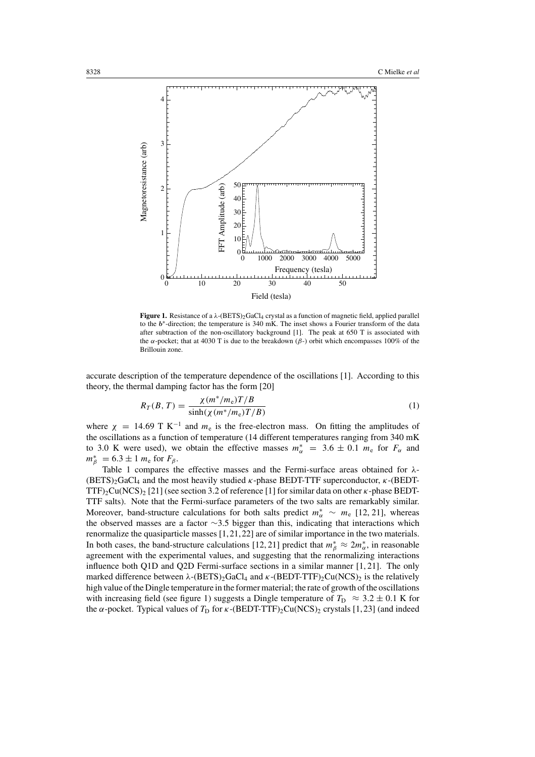

**Figure 1.** Resistance of a λ-(BETS)2GaCl4 crystal as a function of magnetic field, applied parallel to the b∗-direction; the temperature is 340 mK. The inset shows a Fourier transform of the data after subtraction of the non-oscillatory background [1]. The peak at 650 T is associated with the α-pocket; that at 4030 T is due to the breakdown ( $β$ -) orbit which encompasses 100% of the Brillouin zone.

accurate description of the temperature dependence of the oscillations [1]. According to this theory, the thermal damping factor has the form [20]

$$
R_T(B,T) = \frac{\chi(m^*/m_e)T/B}{\sinh(\chi(m^*/m_e)T/B)}
$$
(1)

where  $\chi$  = 14.69 T K<sup>-1</sup> and  $m_e$  is the free-electron mass. On fitting the amplitudes of the oscillations as a function of temperature (14 different temperatures ranging from 340 mK to 3.0 K were used), we obtain the effective masses  $m_{\alpha}^{*} = 3.6 \pm 0.1$   $m_{e}$  for  $F_{\alpha}$  and  $m^*_{\beta} = 6.3 \pm 1 m_e$  for  $F_{\beta}$ .

Table 1 compares the effective masses and the Fermi-surface areas obtained for  $\lambda$ - $(BETS)_2GaCl_4$  and the most heavily studied  $\kappa$ -phase BEDT-TTF superconductor,  $\kappa$ -(BEDT-TTF)<sub>2</sub>Cu(NCS)<sub>2</sub> [21] (see section 3.2 of reference [1] for similar data on other  $\kappa$ -phase BEDT-TTF salts). Note that the Fermi-surface parameters of the two salts are remarkably similar. Moreover, band-structure calculations for both salts predict  $m_{\alpha}^* \sim m_e$  [12, 21], whereas the observed masses are a factor ∼3.5 bigger than this, indicating that interactions which renormalize the quasiparticle masses [1,21,22] are of similar importance in the two materials. In both cases, the band-structure calculations [12, 21] predict that  $m^*_{\beta} \approx 2m^*_{\alpha}$ , in reasonable agreement with the experimental values, and suggesting that the renormalizing interactions influence both Q1D and Q2D Fermi-surface sections in a similar manner [1, 21]. The only marked difference between  $\lambda$ -(BETS)<sub>2</sub>GaCl<sub>4</sub> and  $\kappa$ -(BEDT-TTF)<sub>2</sub>Cu(NCS)<sub>2</sub> is the relatively high value of the Dingle temperature in the former material; the rate of growth of the oscillations with increasing field (see figure 1) suggests a Dingle temperature of  $T_D \approx 3.2 \pm 0.1$  K for the  $\alpha$ -pocket. Typical values of  $T_D$  for  $\kappa$ -(BEDT-TTF)<sub>2</sub>Cu(NCS)<sub>2</sub> crystals [1,23] (and indeed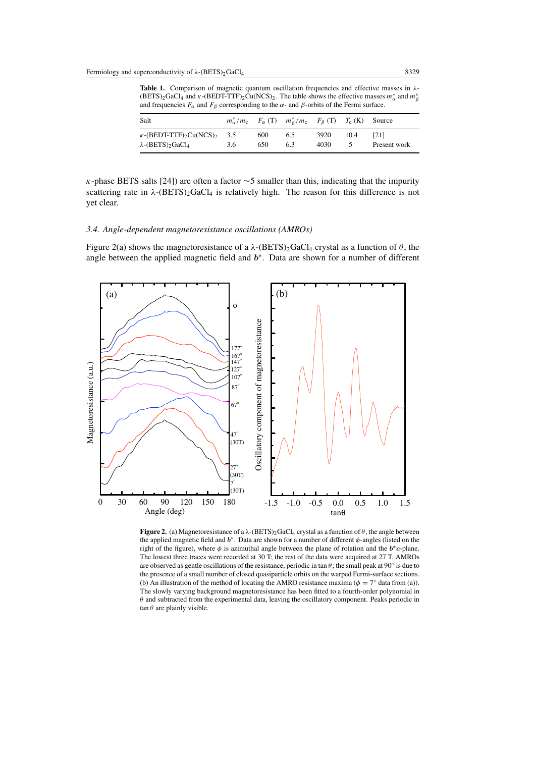**Table 1.** Comparison of magnetic quantum oscillation frequencies and effective masses in λ-  $(BETS)_2GaCl_4$  and  $\kappa$ - $(BEDT-TTF)_2Cu(NCS)_2$ . The table shows the effective masses  $m^*_{\alpha}$  and  $m^*_{\beta}$ and frequencies  $F_{\alpha}$  and  $F_{\beta}$  corresponding to the  $\alpha$ - and  $\beta$ -orbits of the Fermi surface.

| Salt                                                                                                           |     |            | $m_{\alpha}^*/m_e$ $F_{\alpha}$ (T) $m_{\beta}^*/m_e$ $F_{\beta}$ (T) $T_c$ (K) Source |              |      |                             |
|----------------------------------------------------------------------------------------------------------------|-----|------------|----------------------------------------------------------------------------------------|--------------|------|-----------------------------|
| $\kappa$ -(BEDT-TTF) <sub>2</sub> Cu(NCS) <sub>2</sub> 3.5<br>$\lambda$ -(BETS) <sub>2</sub> GaCl <sub>4</sub> | 3.6 | 600<br>650 | 6.5<br>6.3                                                                             | 3920<br>4030 | 10.4 | <b>1211</b><br>Present work |

 $\kappa$ -phase BETS salts [24]) are often a factor  $\sim$ 5 smaller than this, indicating that the impurity scattering rate in  $\lambda$ -(BETS)<sub>2</sub>GaCl<sub>4</sub> is relatively high. The reason for this difference is not yet clear.

## *3.4. Angle-dependent magnetoresistance oscillations (AMROs)*

Figure 2(a) shows the magnetoresistance of a  $\lambda$ -(BETS)<sub>2</sub>GaCl<sub>4</sub> crystal as a function of  $\theta$ , the angle between the applied magnetic field and  $b<sup>*</sup>$ . Data are shown for a number of different



**Figure 2.** (a) Magnetoresistance of a  $\lambda$ -(BETS)<sub>2</sub>GaCl<sub>4</sub> crystal as a function of  $\theta$ , the angle between the applied magnetic field and  $b^*$ . Data are shown for a number of different  $\phi$ -angles (listed on the right of the figure), where  $\phi$  is azimuthal angle between the plane of rotation and the  $b^*c$ -plane. The lowest three traces were recorded at 30 T; the rest of the data were acquired at 27 T. AMROs are observed as gentle oscillations of the resistance, periodic in tan  $\theta$ ; the small peak at 90° is due to the presence of a small number of closed quasiparticle orbits on the warped Fermi-surface sections. (b) An illustration of the method of locating the AMRO resistance maxima ( $\phi = 7^\circ$  data from (a)). The slowly varying background magnetoresistance has been fitted to a fourth-order polynomial in  $\theta$  and subtracted from the experimental data, leaving the oscillatory component. Peaks periodic in  $\tan \theta$  are plainly visible.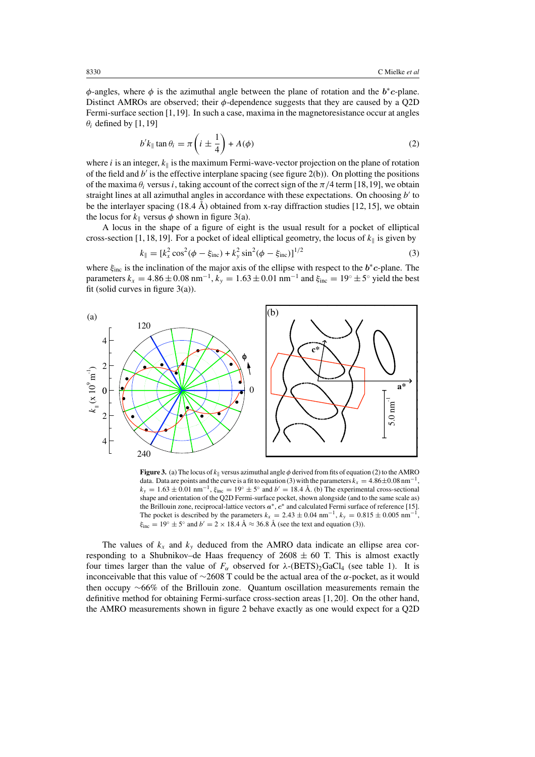$\phi$ -angles, where  $\phi$  is the azimuthal angle between the plane of rotation and the  $b^*c$ -plane. Distinct AMROs are observed; their  $\phi$ -dependence suggests that they are caused by a Q2D Fermi-surface section [1,19]. In such a case, maxima in the magnetoresistance occur at angles  $\theta_i$  defined by [1, 19]

$$
b'k_{\parallel} \tan \theta_i = \pi \left( i \pm \frac{1}{4} \right) + A(\phi) \tag{2}
$$

where i is an integer,  $k_{\parallel}$  is the maximum Fermi-wave-vector projection on the plane of rotation of the field and  $b'$  is the effective interplane spacing (see figure 2(b)). On plotting the positions of the maxima  $\theta_i$  versus i, taking account of the correct sign of the  $\pi/4$  term [18,19], we obtain straight lines at all azimuthal angles in accordance with these expectations. On choosing  $b'$  to be the interlayer spacing  $(18.4 \text{ Å})$  obtained from x-ray diffraction studies [12, 15], we obtain the locus for  $k_{\parallel}$  versus  $\phi$  shown in figure 3(a).

A locus in the shape of a figure of eight is the usual result for a pocket of elliptical cross-section [1, 18, 19]. For a pocket of ideal elliptical geometry, the locus of  $k_{\parallel}$  is given by

$$
k_{\parallel} = [k_x^2 \cos^2(\phi - \xi_{\text{inc}}) + k_y^2 \sin^2(\phi - \xi_{\text{inc}})]^{1/2}
$$
 (3)

where  $\xi_{inc}$  is the inclination of the major axis of the ellipse with respect to the  $b^*c$ -plane. The parameters  $k_x = 4.86 \pm 0.08$  nm<sup>-1</sup>,  $k_y = 1.63 \pm 0.01$  nm<sup>-1</sup> and  $\xi_{inc} = 19^\circ \pm 5^\circ$  yield the best fit (solid curves in figure  $3(a)$ ).



**Figure 3.** (a) The locus of  $k_{\parallel}$  versus azimuthal angle  $\phi$  derived from fits of equation (2) to the AMRO data. Data are points and the curve is a fit to equation (3) with the parameters  $k_x = 4.86 \pm 0.08$  nm<sup>-1</sup>,  $k_y = 1.63 \pm 0.01$  nm<sup>-1</sup>,  $\xi_{inc} = 19^\circ \pm 5^\circ$  and  $b' = 18.4$  Å. (b) The experimental cross-sectional shape and orientation of the Q2D Fermi-surface pocket, shown alongside (and to the same scale as) the Brillouin zone, reciprocal-lattice vectors  $a^*$ ,  $c^*$  and calculated Fermi surface of reference [15]. The pocket is described by the parameters  $k_x = 2.43 \pm 0.04$  nm<sup>-1</sup>,  $k_y = 0.815 \pm 0.005$  nm<sup>-1</sup>,  $\xi_{\text{inc}} = 19^\circ \pm 5^\circ$  and  $b' = 2 \times 18.4 \text{ Å} \approx 36.8 \text{ Å}$  (see the text and equation (3)).

The values of  $k_x$  and  $k_y$  deduced from the AMRO data indicate an ellipse area corresponding to a Shubnikov–de Haas frequency of  $2608 \pm 60$  T. This is almost exactly four times larger than the value of  $F_\alpha$  observed for  $\lambda$ -(BETS)<sub>2</sub>GaCl<sub>4</sub> (see table 1). It is inconceivable that this value of  $\sim$ 2608 T could be the actual area of the  $\alpha$ -pocket, as it would then occupy ∼66% of the Brillouin zone. Quantum oscillation measurements remain the definitive method for obtaining Fermi-surface cross-section areas [1, 20]. On the other hand, the AMRO measurements shown in figure 2 behave exactly as one would expect for a Q2D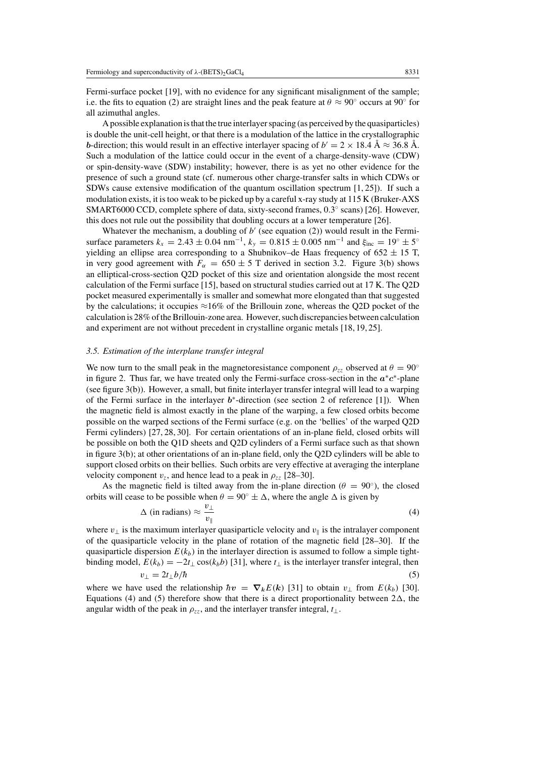Fermi-surface pocket [19], with no evidence for any significant misalignment of the sample; i.e. the fits to equation (2) are straight lines and the peak feature at  $\theta \approx 90^{\circ}$  occurs at  $90^{\circ}$  for all azimuthal angles.

Apossible explanation isthat the true interlayerspacing (as perceived by the quasiparticles) is double the unit-cell height, or that there is a modulation of the lattice in the crystallographic b-direction; this would result in an effective interlayer spacing of  $b' = 2 \times 18.4 \text{ Å} \approx 36.8 \text{ Å}$ . Such a modulation of the lattice could occur in the event of a charge-density-wave (CDW) or spin-density-wave (SDW) instability; however, there is as yet no other evidence for the presence of such a ground state (cf. numerous other charge-transfer salts in which CDWs or SDWs cause extensive modification of the quantum oscillation spectrum [1, 25]). If such a modulation exists, it istoo weak to be picked up by a careful x-ray study at 115 K (Bruker-AXS SMART6000 CCD, complete sphere of data, sixty-second frames, 0.3◦ scans) [26]. However, this does not rule out the possibility that doubling occurs at a lower temperature [26].

Whatever the mechanism, a doubling of  $b'$  (see equation (2)) would result in the Fermisurface parameters  $k_x = 2.43 \pm 0.04 \text{ nm}^{-1}$ ,  $k_y = 0.815 \pm 0.005 \text{ nm}^{-1}$  and  $\xi_{\text{inc}} = 19^\circ \pm 5^\circ$ yielding an ellipse area corresponding to a Shubnikov–de Haas frequency of  $652 \pm 15$  T, in very good agreement with  $F_\alpha = 650 \pm 5$  T derived in section 3.2. Figure 3(b) shows an elliptical-cross-section Q2D pocket of this size and orientation alongside the most recent calculation of the Fermi surface [15], based on structural studies carried out at 17 K. The Q2D pocket measured experimentally is smaller and somewhat more elongated than that suggested by the calculations; it occupies  $\approx$ 16% of the Brillouin zone, whereas the Q2D pocket of the calculation is 28% of the Brillouin-zone area. However, such discrepancies between calculation and experiment are not without precedent in crystalline organic metals [18, 19, 25].

## *3.5. Estimation of the interplane transfer integral*

We now turn to the small peak in the magnetoresistance component  $\rho_{zz}$  observed at  $\theta = 90^\circ$ in figure 2. Thus far, we have treated only the Fermi-surface cross-section in the  $a^*c^*$ -plane (see figure 3(b)). However, a small, but finite interlayer transfer integral will lead to a warping of the Fermi surface in the interlayer  $b^*$ -direction (see section 2 of reference [1]). When the magnetic field is almost exactly in the plane of the warping, a few closed orbits become possible on the warped sections of the Fermi surface (e.g. on the 'bellies' of the warped Q2D Fermi cylinders) [27, 28, 30]. For certain orientations of an in-plane field, closed orbits will be possible on both the Q1D sheets and Q2D cylinders of a Fermi surface such as that shown in figure 3(b); at other orientations of an in-plane field, only the Q2D cylinders will be able to support closed orbits on their bellies. Such orbits are very effective at averaging the interplane velocity component  $v_z$ , and hence lead to a peak in  $\rho_{zz}$  [28–30].

As the magnetic field is tilted away from the in-plane direction ( $\theta = 90^{\circ}$ ), the closed orbits will cease to be possible when  $\theta = 90^\circ \pm \Delta$ , where the angle  $\Delta$  is given by

$$
\Delta \text{ (in radians)} \approx \frac{v_{\perp}}{v_{\parallel}} \tag{4}
$$

where  $v_{\perp}$  is the maximum interlayer quasiparticle velocity and  $v_{\parallel}$  is the intralayer component of the quasiparticle velocity in the plane of rotation of the magnetic field [28–30]. If the quasiparticle dispersion  $E(k_b)$  in the interlayer direction is assumed to follow a simple tightbinding model,  $E(k_b) = -2t_{\perp} \cos(k_b b)$  [31], where  $t_{\perp}$  is the interlayer transfer integral, then

$$
v_{\perp} = 2t_{\perp}b/\hbar \tag{5}
$$

where we have used the relationship  $\hbar v = \nabla_k E(k)$  [31] to obtain  $v_{\perp}$  from  $E(k_b)$  [30]. Equations (4) and (5) therefore show that there is a direct proportionality between  $2\Delta$ , the angular width of the peak in  $\rho_{zz}$ , and the interlayer transfer integral,  $t_{\perp}$ .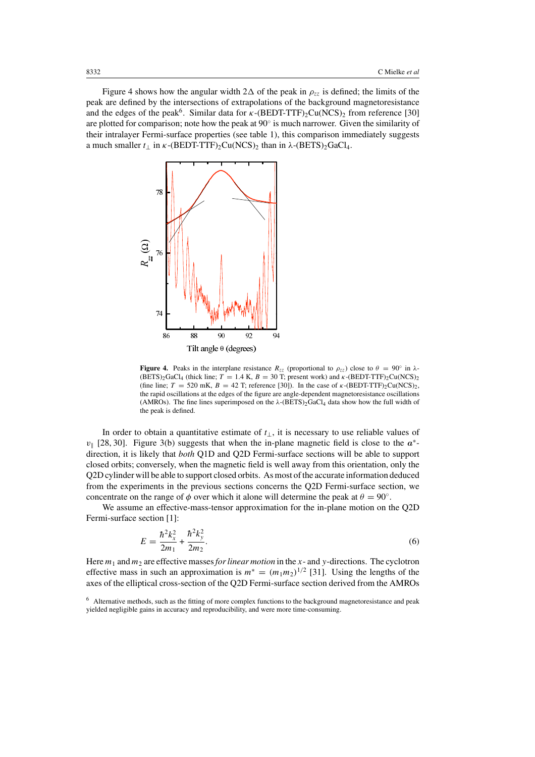Figure 4 shows how the angular width  $2\Delta$  of the peak in  $\rho_{zz}$  is defined; the limits of the peak are defined by the intersections of extrapolations of the background magnetoresistance and the edges of the peak<sup>6</sup>. Similar data for  $\kappa$ -(BEDT-TTF)<sub>2</sub>Cu(NCS)<sub>2</sub> from reference [30] are plotted for comparison; note how the peak at  $90°$  is much narrower. Given the similarity of their intralayer Fermi-surface properties (see table 1), this comparison immediately suggests a much smaller  $t_{\perp}$  in  $\kappa$ -(BEDT-TTF)<sub>2</sub>Cu(NCS)<sub>2</sub> than in  $\lambda$ -(BETS)<sub>2</sub>GaCl<sub>4</sub>.



**Figure 4.** Peaks in the interplane resistance  $R_{zz}$  (proportional to  $\rho_{zz}$ ) close to  $\theta = 90^\circ$  in  $\lambda$ - $(BETS)_{2}GaCl_{4}$  (thick line; T = 1.4 K, B = 30 T; present work) and  $\kappa$ -(BEDT-TTF)<sub>2</sub>Cu(NCS)<sub>2</sub> (fine line;  $T = 520 \text{ mK}$ ,  $B = 42 \text{ T}$ ; reference [30]). In the case of  $\kappa$ -(BEDT-TTF)<sub>2</sub>Cu(NCS)<sub>2</sub>, the rapid oscillations at the edges of the figure are angle-dependent magnetoresistance oscillations (AMROs). The fine lines superimposed on the  $\lambda$ -(BETS)<sub>2</sub>GaCl<sub>4</sub> data show how the full width of the peak is defined.

In order to obtain a quantitative estimate of  $t_{\perp}$ , it is necessary to use reliable values of  $v_{\parallel}$  [28, 30]. Figure 3(b) suggests that when the in-plane magnetic field is close to the  $a^*$ direction, it is likely that *both* Q1D and Q2D Fermi-surface sections will be able to support closed orbits; conversely, when the magnetic field is well away from this orientation, only the Q2D cylinder will be able to support closed orbits. As most of the accurate information deduced from the experiments in the previous sections concerns the Q2D Fermi-surface section, we concentrate on the range of  $\phi$  over which it alone will determine the peak at  $\theta = 90^\circ$ .

We assume an effective-mass-tensor approximation for the in-plane motion on the Q2D Fermi-surface section [1]:

$$
E = \frac{\hbar^2 k_x^2}{2m_1} + \frac{\hbar^2 k_y^2}{2m_2}.
$$
 (6)

Here  $m_1$  and  $m_2$  are effective masses *for linear motion* in the x- and y-directions. The cyclotron effective mass in such an approximation is  $m^* = (m_1 m_2)^{1/2}$  [31]. Using the lengths of the axes of the elliptical cross-section of the Q2D Fermi-surface section derived from the AMROs

<sup>&</sup>lt;sup>6</sup> Alternative methods, such as the fitting of more complex functions to the background magnetoresistance and peak yielded negligible gains in accuracy and reproducibility, and were more time-consuming.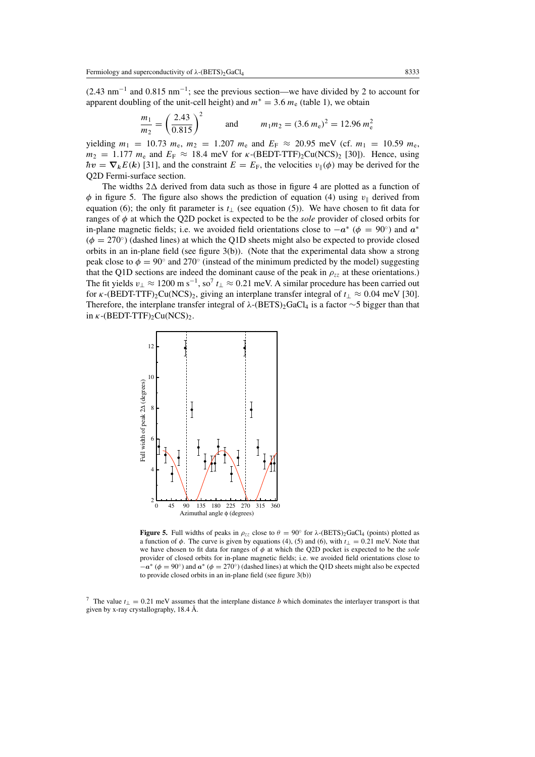(2.43 nm−<sup>1</sup> and 0.815 nm−1; see the previous section—we have divided by 2 to account for apparent doubling of the unit-cell height) and  $m^* = 3.6 m_e$  (table 1), we obtain

$$
\frac{m_1}{m_2} = \left(\frac{2.43}{0.815}\right)^2 \quad \text{and} \quad m_1 m_2 = (3.6 \, m_\text{e})^2 = 12.96 \, m_\text{e}^2
$$

yielding  $m_1 = 10.73$   $m_e$ ,  $m_2 = 1.207$   $m_e$  and  $E_F \approx 20.95$  meV (cf.  $m_1 = 10.59$   $m_e$ )  $m_2 = 1.177$   $m_e$  and  $E_F \approx 18.4$  meV for  $\kappa$ -(BEDT-TTF)<sub>2</sub>Cu(NCS)<sub>2</sub> [30]). Hence, using  $\hbar v = \nabla_k E(k)$  [31], and the constraint  $E = E_F$ , the velocities  $v_{\parallel}(\phi)$  may be derived for the Q2D Fermi-surface section.

The widths  $2\Delta$  derived from data such as those in figure 4 are plotted as a function of  $\phi$  in figure 5. The figure also shows the prediction of equation (4) using  $v_{\parallel}$  derived from equation (6); the only fit parameter is  $t_{\perp}$  (see equation (5)). We have chosen to fit data for ranges of φ at which the Q2D pocket is expected to be the *sole* provider of closed orbits for in-plane magnetic fields; i.e. we avoided field orientations close to  $-a^*$  ( $\phi = 90^\circ$ ) and  $a^*$  $(\phi = 270^{\circ})$  (dashed lines) at which the Q1D sheets might also be expected to provide closed orbits in an in-plane field (see figure 3(b)). (Note that the experimental data show a strong peak close to  $\phi = 90^\circ$  and 270 $^\circ$  (instead of the minimum predicted by the model) suggesting that the Q1D sections are indeed the dominant cause of the peak in  $\rho_{zz}$  at these orientations.) The fit yields  $v_\perp \approx 1200$  m s<sup>-1</sup>, so<sup>7</sup>  $t_\perp \approx 0.21$  meV. A similar procedure has been carried out for  $\kappa$ -(BEDT-TTF)<sub>2</sub>Cu(NCS)<sub>2</sub>, giving an interplane transfer integral of  $t_{\perp} \approx 0.04$  meV [30]. Therefore, the interplane transfer integral of  $\lambda$ -(BETS)<sub>2</sub>GaCl<sub>4</sub> is a factor ∼5 bigger than that in  $\kappa$ -(BEDT-TTF)<sub>2</sub>Cu(NCS)<sub>2</sub>.



**Figure 5.** Full widths of peaks in  $\rho_{27}$  close to  $\theta = 90^\circ$  for  $\lambda$ -(BETS)<sub>2</sub>GaCl<sub>4</sub> (points) plotted as a function of  $\phi$ . The curve is given by equations (4), (5) and (6), with  $t_{\perp} = 0.21$  meV. Note that we have chosen to fit data for ranges of φ at which the Q2D pocket is expected to be the *sole* provider of closed orbits for in-plane magnetic fields; i.e. we avoided field orientations close to  $-a^*$  ( $\phi = 90°$ ) and  $a^*$  ( $\phi = 270°$ ) (dashed lines) at which the Q1D sheets might also be expected to provide closed orbits in an in-plane field (see figure 3(b))

<sup>7</sup> The value  $t_{\perp} = 0.21$  meV assumes that the interplane distance b which dominates the interlayer transport is that given by x-ray crystallography, 18.4 Å.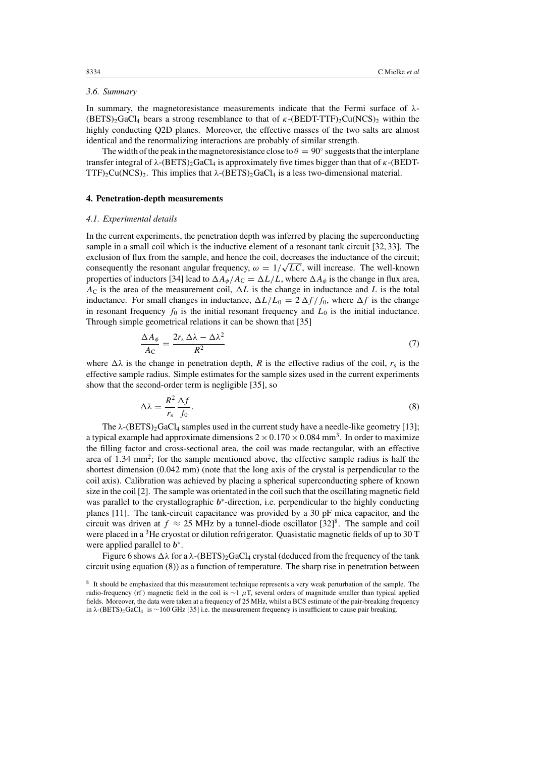# *3.6. Summary*

In summary, the magnetoresistance measurements indicate that the Fermi surface of  $\lambda$ - $(BETS)$ <sub>2</sub>GaCl<sub>4</sub> bears a strong resemblance to that of  $\kappa$ - $(BEDT-TTF)$ <sub>2</sub>Cu(NCS)<sub>2</sub> within the highly conducting Q2D planes. Moreover, the effective masses of the two salts are almost identical and the renormalizing interactions are probably of similar strength.

The width of the peak in the magnetoresistance close to  $\theta = 90^\circ$  suggests that the interplane transfer integral of  $\lambda$ -(BETS)<sub>2</sub>GaCl<sub>4</sub> is approximately five times bigger than that of κ-(BEDT-TTF)<sub>2</sub>Cu(NCS)<sub>2</sub>. This implies that  $\lambda$ -(BETS)<sub>2</sub>GaCl<sub>4</sub> is a less two-dimensional material.

## **4. Penetration-depth measurements**

#### *4.1. Experimental details*

In the current experiments, the penetration depth was inferred by placing the superconducting sample in a small coil which is the inductive element of a resonant tank circuit [32, 33]. The exclusion of flux from the sample, and hence the coil, decreases the inductance of the circuit; consequently the resonant angular frequency,  $\omega = 1/\sqrt{LC}$ , will increase. The well-known properties of inductors [34] lead to  $\Delta A_{\phi}/A_C = \Delta L/L$ , where  $\Delta A_{\phi}$  is the change in flux area,  $A_{\rm C}$  is the area of the measurement coil,  $\Delta L$  is the change in inductance and L is the total inductance. For small changes in inductance,  $\Delta L/L_0 = 2 \Delta f/f_0$ , where  $\Delta f$  is the change in resonant frequency  $f_0$  is the initial resonant frequency and  $L_0$  is the initial inductance. Through simple geometrical relations it can be shown that [35]

$$
\frac{\Delta A_{\phi}}{A_{\rm C}} = \frac{2r_{\rm s}\,\Delta\lambda - \Delta\lambda^2}{R^2} \tag{7}
$$

where  $\Delta\lambda$  is the change in penetration depth, R is the effective radius of the coil,  $r_s$  is the effective sample radius. Simple estimates for the sample sizes used in the current experiments show that the second-order term is negligible [35], so

$$
\Delta\lambda = \frac{R^2}{r_s} \frac{\Delta f}{f_0}.\tag{8}
$$

The  $\lambda$ -(BETS)<sub>2</sub>GaCl<sub>4</sub> samples used in the current study have a needle-like geometry [13]; a typical example had approximate dimensions  $2 \times 0.170 \times 0.084$  mm<sup>3</sup>. In order to maximize the filling factor and cross-sectional area, the coil was made rectangular, with an effective area of  $1.34 \text{ mm}^2$ ; for the sample mentioned above, the effective sample radius is half the shortest dimension (0.042 mm) (note that the long axis of the crystal is perpendicular to the coil axis). Calibration was achieved by placing a spherical superconducting sphere of known size in the coil [2]. The sample was orientated in the coilsuch that the oscillating magnetic field was parallel to the crystallographic  $b^*$ -direction, i.e. perpendicular to the highly conducting planes [11]. The tank-circuit capacitance was provided by a 30 pF mica capacitor, and the circuit was driven at  $f \approx 25$  MHz by a tunnel-diode oscillator  $[32]^8$ . The sample and coil were placed in a <sup>3</sup>He cryostat or dilution refrigerator. Quasistatic magnetic fields of up to 30 T were applied parallel to  $b^*$ .

Figure 6 shows  $\Delta\lambda$  for a  $\lambda$ -(BETS)<sub>2</sub>GaCl<sub>4</sub> crystal (deduced from the frequency of the tank circuit using equation (8)) as a function of temperature. The sharp rise in penetration between

<sup>8</sup> It should be emphasized that this measurement technique represents a very weak perturbation of the sample. The radio-frequency (rf) magnetic field in the coil is ∼1  $\mu$ T, several orders of magnitude smaller than typical applied fields. Moreover, the data were taken at a frequency of 25 MHz, whilst a BCS estimate of the pair-breaking frequency in λ-(BETS)2GaCl4 is ∼160 GHz [35] i.e. the measurement frequency is insufficient to cause pair breaking.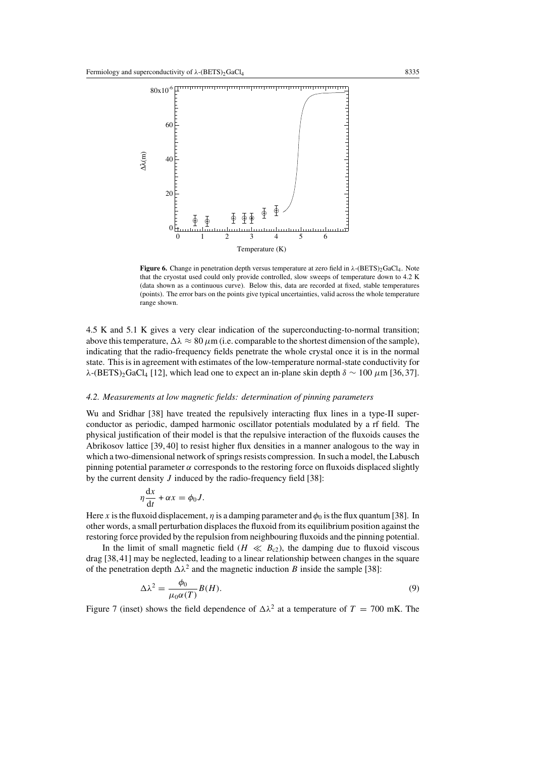

**Figure 6.** Change in penetration depth versus temperature at zero field in λ-(BETS)<sub>2</sub>GaCl<sub>4</sub>. Note that the cryostat used could only provide controlled, slow sweeps of temperature down to 4.2 K (data shown as a continuous curve). Below this, data are recorded at fixed, stable temperatures (points). The error bars on the points give typical uncertainties, valid across the whole temperature range shown.

4.5 K and 5.1 K gives a very clear indication of the superconducting-to-normal transition; above this temperature,  $\Delta \lambda \approx 80 \,\mu \text{m}$  (i.e. comparable to the shortest dimension of the sample), indicating that the radio-frequency fields penetrate the whole crystal once it is in the normal state. Thisisin agreement with estimates of the low-temperature normal-state conductivity for λ-(BETS)<sub>2</sub>GaCl<sub>4</sub> [12], which lead one to expect an in-plane skin depth  $\delta \sim 100 \mu m$  [36, 37].

### *4.2. Measurements at low magnetic fields: determination of pinning parameters*

Wu and Sridhar [38] have treated the repulsively interacting flux lines in a type-II superconductor as periodic, damped harmonic oscillator potentials modulated by a rf field. The physical justification of their model is that the repulsive interaction of the fluxoids causes the Abrikosov lattice [39, 40] to resist higher flux densities in a manner analogous to the way in which a two-dimensional network of springs resists compression. In such a model, the Labusch pinning potential parameter  $α$  corresponds to the restoring force on fluxoids displaced slightly by the current density  $J$  induced by the radio-frequency field [38]:

$$
\eta \frac{\mathrm{d}x}{\mathrm{d}t} + \alpha x = \phi_0 J.
$$

Here x is the fluxoid displacement,  $\eta$  is a damping parameter and  $\phi_0$  is the flux quantum [38]. In other words, a small perturbation displacesthe fluxoid from its equilibrium position against the restoring force provided by the repulsion from neighbouring fluxoids and the pinning potential.

In the limit of small magnetic field ( $H \ll B_{c2}$ ), the damping due to fluxoid viscous drag [38,41] may be neglected, leading to a linear relationship between changes in the square of the penetration depth  $\Delta \lambda^2$  and the magnetic induction B inside the sample [38]:

$$
\Delta\lambda^2 = \frac{\phi_0}{\mu_0 \alpha(T)} B(H). \tag{9}
$$

Figure 7 (inset) shows the field dependence of  $\Delta \lambda^2$  at a temperature of  $T = 700$  mK. The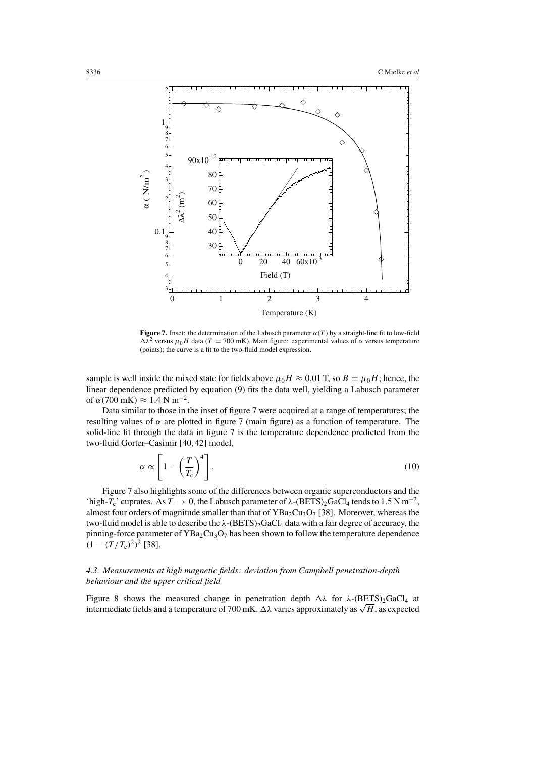

**Figure 7.** Inset: the determination of the Labusch parameter  $\alpha(T)$  by a straight-line fit to low-field  $\Delta \lambda^2$  versus  $\mu_0H$  data (T = 700 mK). Main figure: experimental values of  $\alpha$  versus temperature (points); the curve is a fit to the two-fluid model expression.

sample is well inside the mixed state for fields above  $\mu_0H \approx 0.01$  T, so  $B = \mu_0H$ ; hence, the linear dependence predicted by equation (9) fits the data well, yielding a Labusch parameter of  $\alpha$ (700 mK)  $\approx$  1.4 N m<sup>-2</sup>.

Data similar to those in the inset of figure 7 were acquired at a range of temperatures; the resulting values of  $\alpha$  are plotted in figure 7 (main figure) as a function of temperature. The solid-line fit through the data in figure 7 is the temperature dependence predicted from the two-fluid Gorter–Casimir [40, 42] model,

$$
\alpha \propto \left[1 - \left(\frac{T}{T_c}\right)^4\right].\tag{10}
$$

Figure 7 also highlights some of the differences between organic superconductors and the 'high-T<sub>c</sub>' cuprates. As  $T \to 0$ , the Labusch parameter of  $\lambda$ -(BETS)<sub>2</sub>GaCl<sub>4</sub> tends to 1.5 N m<sup>-2</sup>, almost four orders of magnitude smaller than that of  $YBa_2Cu_3O_7$  [38]. Moreover, whereas the two-fluid model is able to describe the  $\lambda$ -(BETS)<sub>2</sub>GaCl<sub>4</sub> data with a fair degree of accuracy, the pinning-force parameter of  $YBa<sub>2</sub>Cu<sub>3</sub>O<sub>7</sub>$  has been shown to follow the temperature dependence  $(1-(T/T_c)^2)^2$  [38].

# *4.3. Measurements at high magnetic fields: deviation from Campbell penetration-depth behaviour and the upper critical field*

Figure 8 shows the measured change in penetration depth  $\Delta\lambda$  for  $\lambda$ -(BETS)<sub>2</sub>GaCl<sub>4</sub> at intermediate fields and a temperature of 700 mK.  $\Delta \lambda$  varies approximately as  $\sqrt{H}$ , as expected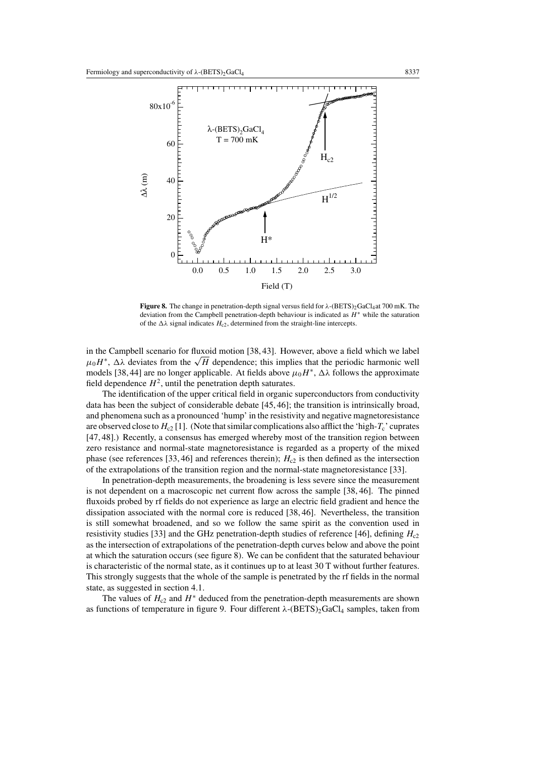

Figure 8. The change in penetration-depth signal versus field for λ-(BETS)<sub>2</sub>GaCl<sub>4</sub>at 700 mK. The deviation from the Campbell penetration-depth behaviour is indicated as H∗ while the saturation of the  $\Delta\lambda$  signal indicates  $H_{c2}$ , determined from the straight-line intercepts.

in the Campbell scenario for fluxoid motion [38, 43]. However, above a field which we label  $\mu_0H^*$ ,  $\Delta\lambda$  deviates from the  $\sqrt{H}$  dependence; this implies that the periodic harmonic well models [38, 44] are no longer applicable. At fields above  $\mu_0H^*$ ,  $\Delta\lambda$  follows the approximate field dependence  $H^2$ , until the penetration depth saturates.

The identification of the upper critical field in organic superconductors from conductivity data has been the subject of considerable debate [45, 46]; the transition is intrinsically broad, and phenomena such as a pronounced 'hump' in the resistivity and negative magnetoresistance are observed close to  $H_{c2}$  [1]. (Note that similar complications also afflict the 'high- $T_c$ ' cuprates [47, 48].) Recently, a consensus has emerged whereby most of the transition region between zero resistance and normal-state magnetoresistance is regarded as a property of the mixed phase (see references [33, 46] and references therein);  $H<sub>c2</sub>$  is then defined as the intersection of the extrapolations of the transition region and the normal-state magnetoresistance [33].

In penetration-depth measurements, the broadening is less severe since the measurement is not dependent on a macroscopic net current flow across the sample [38, 46]. The pinned fluxoids probed by rf fields do not experience as large an electric field gradient and hence the dissipation associated with the normal core is reduced [38, 46]. Nevertheless, the transition is still somewhat broadened, and so we follow the same spirit as the convention used in resistivity studies [33] and the GHz penetration-depth studies of reference [46], defining  $H_{c2}$ as the intersection of extrapolations of the penetration-depth curves below and above the point at which the saturation occurs (see figure 8). We can be confident that the saturated behaviour is characteristic of the normal state, as it continues up to at least 30 T without further features. This strongly suggests that the whole of the sample is penetrated by the rf fields in the normal state, as suggested in section 4.1.

The values of  $H_{c2}$  and  $H^*$  deduced from the penetration-depth measurements are shown as functions of temperature in figure 9. Four different  $\lambda$ -(BETS)<sub>2</sub>GaCl<sub>4</sub> samples, taken from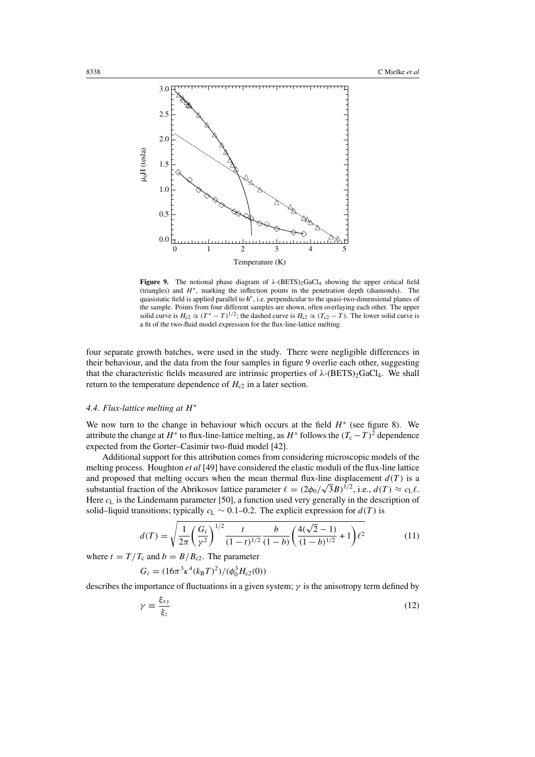

**Figure 9.** The notional phase diagram of  $\lambda$ -(BETS)<sub>2</sub>GaCl<sub>4</sub> showing the upper critical field (triangles) and H∗, marking the inflection points in the penetration depth (diamonds). The quasistatic field is applied parallel to  $b<sup>∗</sup>$ , i.e. perpendicular to the quasi-two-dimensional planes of the sample. Points from four different samples are shown, often overlaying each other. The upper solid curve is  $H_{c2} \propto (T^* - T)^{1/2}$ ; the dashed curve is  $H_{c2} \propto (T_{c2} - T)$ . The lower solid curve is a fit of the two-fluid model expression for the flux-line-lattice melting.

four separate growth batches, were used in the study. There were negligible differences in their behaviour, and the data from the four samples in figure 9 overlie each other, suggesting that the characteristic fields measured are intrinsic properties of  $\lambda$ -(BETS)<sub>2</sub>GaCl<sub>4</sub>. We shall return to the temperature dependence of  $H_{c2}$  in a later section.

#### *4.4. Flux-lattice melting at* H<sup>∗</sup>

We now turn to the change in behaviour which occurs at the field  $H^*$  (see figure 8). We attribute the change at  $H^*$  to flux-line-lattice melting, as  $H^*$  follows the  $(T_c - T)^2$  dependence expected from the Gorter–Casimir two-fluid model [42].

Additional support for this attribution comes from considering microscopic models of the melting process. Houghton *et al* [49] have considered the elastic moduli of the flux-line lattice and proposed that melting occurs when the mean thermal flux-line displacement  $d(T)$  is a substantial fraction of the Abrikosov lattice parameter  $\ell = (2\phi_0/\sqrt{3}B)^{1/2}$ , i.e.,  $d(T) \approx c_L \ell$ . Here  $c<sub>L</sub>$  is the Lindemann parameter [50], a function used very generally in the description of solid–liquid transitions; typically  $c<sub>L</sub>$  ∼ 0.1–0.2. The explicit expression for  $d(T)$  is

$$
d(T) = \sqrt{\frac{1}{2\pi} \left(\frac{G_i}{\gamma^2}\right)^{1/2} \frac{t}{(1-t)^{1/2}} \frac{b}{(1-b)} \left(\frac{4(\sqrt{2}-1)}{(1-b)^{1/2}} + 1\right) \ell^2}
$$
(11)

where  $t = T/T_c$  and  $b = B/B_{c2}$ . The parameter

$$
G_i = (16\pi^3 \kappa^4 (k_{\rm B}T)^2) / (\phi_0^3 H_{c2}(0))
$$

describes the importance of fluctuations in a given system;  $\gamma$  is the anisotropy term defined by

$$
\gamma \equiv \frac{\xi_{xy}}{\xi_z} \tag{12}
$$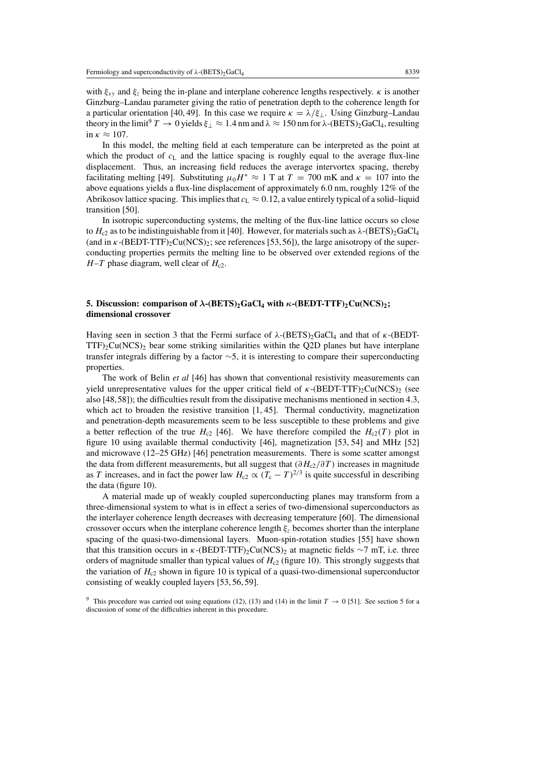with  $\xi_{xy}$  and  $\xi_z$  being the in-plane and interplane coherence lengths respectively.  $\kappa$  is another Ginzburg–Landau parameter giving the ratio of penetration depth to the coherence length for a particular orientation [40, 49]. In this case we require  $\kappa = \lambda/\xi_{\perp}$ . Using Ginzburg–Landau theory in the limit<sup>9</sup>  $T \to 0$  yields  $\xi_{\perp} \approx 1.4$  nm and  $\lambda \approx 150$  nm for  $\lambda$ -(BETS)<sub>2</sub>GaCl<sub>4</sub>, resulting in  $\kappa \approx 107$ .

In this model, the melting field at each temperature can be interpreted as the point at which the product of  $c<sub>L</sub>$  and the lattice spacing is roughly equal to the average flux-line displacement. Thus, an increasing field reduces the average intervortex spacing, thereby facilitating melting [49]. Substituting  $\mu_0H^* \approx 1$  T at  $T = 700$  mK and  $\kappa = 107$  into the above equations yields a flux-line displacement of approximately 6.0 nm, roughly 12% of the Abrikosov lattice spacing. This implies that  $c<sub>L</sub> \approx 0.12$ , a value entirely typical of a solid–liquid transition [50].

In isotropic superconducting systems, the melting of the flux-line lattice occurs so close to  $H_{c2}$  as to be indistinguishable from it [40]. However, for materials such as  $\lambda$ -(BETS)<sub>2</sub>GaCl<sub>4</sub> (and in  $\kappa$ -(BEDT-TTF)<sub>2</sub>Cu(NCS)<sub>2</sub>; see references [53,56]), the large anisotropy of the superconducting properties permits the melting line to be observed over extended regions of the  $H - T$  phase diagram, well clear of  $H_{c2}$ .

# **5. Discussion: comparison** of  $\lambda$ -(BETS)<sub>2</sub>GaCl<sub>4</sub> with  $\kappa$ -(BEDT-TTF)<sub>2</sub>Cu(NCS)<sub>2</sub>; **dimensional crossover**

Having seen in section 3 that the Fermi surface of  $\lambda$ -(BETS)<sub>2</sub>GaCl<sub>4</sub> and that of κ-(BEDT- $TTF_2Cu(NCS)_2$  bear some striking similarities within the Q2D planes but have interplane transfer integrals differing by a factor ∼5, it is interesting to compare their superconducting properties.

The work of Belin *et al* [46] has shown that conventional resistivity measurements can yield unrepresentative values for the upper critical field of  $\kappa$ -(BEDT-TTF)<sub>2</sub>Cu(NCS)<sub>2</sub> (see also [48,58]); the difficulties result from the dissipative mechanisms mentioned in section 4.3, which act to broaden the resistive transition  $[1, 45]$ . Thermal conductivity, magnetization and penetration-depth measurements seem to be less susceptible to these problems and give a better reflection of the true  $H_{c2}$  [46]. We have therefore compiled the  $H_{c2}(T)$  plot in figure 10 using available thermal conductivity [46], magnetization [53, 54] and MHz [52] and microwave (12–25 GHz) [46] penetration measurements. There is some scatter amongst the data from different measurements, but all suggest that  $(\partial H_{c2}/\partial T)$  increases in magnitude as T increases, and in fact the power law  $H_{c2} \propto (T_c - T)^{2/3}$  is quite successful in describing the data (figure 10).

A material made up of weakly coupled superconducting planes may transform from a three-dimensional system to what is in effect a series of two-dimensional superconductors as the interlayer coherence length decreases with decreasing temperature [60]. The dimensional crossover occurs when the interplane coherence length  $\xi$ <sub>z</sub> becomes shorter than the interplane spacing of the quasi-two-dimensional layers. Muon-spin-rotation studies [55] have shown that this transition occurs in  $\kappa$ -(BEDT-TTF)<sub>2</sub>Cu(NCS)<sub>2</sub> at magnetic fields ∼7 mT, i.e. three orders of magnitude smaller than typical values of  $H_{c2}$  (figure 10). This strongly suggests that the variation of  $H_{c2}$  shown in figure 10 is typical of a quasi-two-dimensional superconductor consisting of weakly coupled layers [53, 56, 59].

<sup>&</sup>lt;sup>9</sup> This procedure was carried out using equations (12), (13) and (14) in the limit  $T \rightarrow 0$  [51]. See section 5 for a discussion of some of the difficulties inherent in this procedure.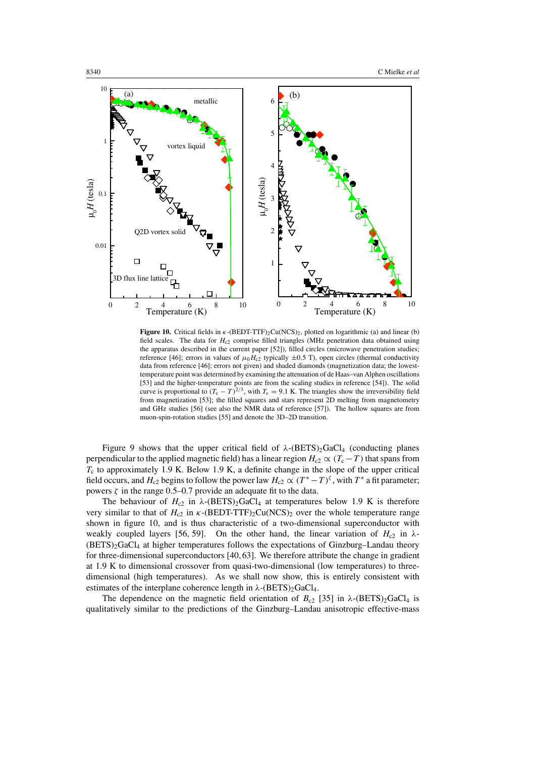

**Figure 10.** Critical fields in κ-(BEDT-TTF)2Cu(NCS)2, plotted on logarithmic (a) and linear (b) field scales. The data for  $H_{c2}$  comprise filled triangles (MHz penetration data obtained using the apparatus described in the current paper [52]), filled circles (microwave penetration studies; reference [46]; errors in values of  $\mu_0H_{c2}$  typically  $\pm 0.5$  T), open circles (thermal conductivity data from reference [46]; errors not given) and shaded diamonds (magnetization data; the lowesttemperature point was determined by examining the attenuation of de Haas–van Alphen oscillations [53] and the higher-temperature points are from the scaling studies in reference [54]). The solid curve is proportional to  $(T_c - T)^{2/3}$ , with  $T_c = 9.1$  K. The triangles show the irreversibility field from magnetization [53]; the filled squares and stars represent 2D melting from magnetometry and GHz studies [56] (see also the NMR data of reference [57]). The hollow squares are from muon-spin-rotation studies [55] and denote the 3D–2D transition.

Figure 9 shows that the upper critical field of  $\lambda$ -(BETS)<sub>2</sub>GaCl<sub>4</sub> (conducting planes perpendicular to the applied magnetic field) has a linear region  $H_{c2} \propto (T_c - T)$  that spans from  $T_c$  to approximately 1.9 K. Below 1.9 K, a definite change in the slope of the upper critical field occurs, and  $H_{c2}$  begins to follow the power law  $H_{c2} \propto (T^* - T)^{\zeta}$ , with  $T^*$  a fit parameter; powers  $\zeta$  in the range 0.5–0.7 provide an adequate fit to the data.

The behaviour of  $H_{c2}$  in  $\lambda$ -(BETS)<sub>2</sub>GaCl<sub>4</sub> at temperatures below 1.9 K is therefore very similar to that of  $H_{c2}$  in  $\kappa$ -(BEDT-TTF)<sub>2</sub>Cu(NCS)<sub>2</sub> over the whole temperature range shown in figure 10, and is thus characteristic of a two-dimensional superconductor with weakly coupled layers [56, 59]. On the other hand, the linear variation of  $H_{c2}$  in  $\lambda$ - $(BETS)$ <sub>2</sub>GaCl<sub>4</sub> at higher temperatures follows the expectations of Ginzburg–Landau theory for three-dimensional superconductors [40, 63]. We therefore attribute the change in gradient at 1.9 K to dimensional crossover from quasi-two-dimensional (low temperatures) to threedimensional (high temperatures). As we shall now show, this is entirely consistent with estimates of the interplane coherence length in  $\lambda$ -(BETS)<sub>2</sub>GaCl<sub>4</sub>.

The dependence on the magnetic field orientation of  $B_{c2}$  [35] in  $\lambda$ -(BETS)<sub>2</sub>GaCl<sub>4</sub> is qualitatively similar to the predictions of the Ginzburg–Landau anisotropic effective-mass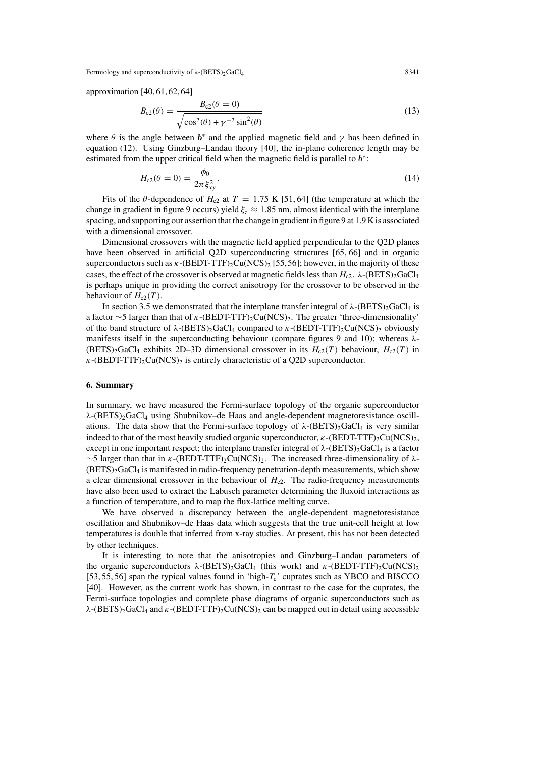approximation [40, 61, 62, 64]

$$
B_{c2}(\theta) = \frac{B_{c2}(\theta = 0)}{\sqrt{\cos^2(\theta) + \gamma^{-2}\sin^2(\theta)}}
$$
(13)

where  $\theta$  is the angle between  $b^*$  and the applied magnetic field and  $\gamma$  has been defined in equation (12). Using Ginzburg–Landau theory [40], the in-plane coherence length may be estimated from the upper critical field when the magnetic field is parallel to  $b^*$ :

$$
H_{c2}(\theta = 0) = \frac{\phi_0}{2\pi \xi_{xy}^2}.
$$
\n(14)

Fits of the  $\theta$ -dependence of  $H_{c2}$  at  $T = 1.75$  K [51, 64] (the temperature at which the change in gradient in figure 9 occurs) yield  $\xi$  ≈ 1.85 nm, almost identical with the interplane spacing, and supporting our assertion that the change in gradient in figure 9 at 1.9 K is associated with a dimensional crossover.

Dimensional crossovers with the magnetic field applied perpendicular to the Q2D planes have been observed in artificial Q2D superconducting structures [65, 66] and in organic superconductors such as  $\kappa$ -(BEDT-TTF)<sub>2</sub>Cu(NCS)<sub>2</sub> [55,56]; however, in the majority of these cases, the effect of the crossover is observed at magnetic fields less than  $H_{c2}$ .  $\lambda$ -(BETS)<sub>2</sub>GaCl<sub>4</sub> is perhaps unique in providing the correct anisotropy for the crossover to be observed in the behaviour of  $H_{c2}(T)$ .

In section 3.5 we demonstrated that the interplane transfer integral of  $\lambda$ -(BETS)<sub>2</sub>GaCl<sub>4</sub> is a factor ∼5 larger than that of κ-(BEDT-TTF)2Cu(NCS)2. The greater 'three-dimensionality' of the band structure of  $\lambda$ -(BETS)<sub>2</sub>GaCl<sub>4</sub> compared to *κ*-(BEDT-TTF)<sub>2</sub>Cu(NCS)<sub>2</sub> obviously manifests itself in the superconducting behaviour (compare figures 9 and 10); whereas  $\lambda$ - $(BETS)_{2}GaCl_{4}$  exhibits 2D–3D dimensional crossover in its  $H_{c2}(T)$  behaviour,  $H_{c2}(T)$  in  $\kappa$ -(BEDT-TTF)<sub>2</sub>Cu(NCS)<sub>2</sub> is entirely characteristic of a Q2D superconductor.

#### **6. Summary**

In summary, we have measured the Fermi-surface topology of the organic superconductor  $\lambda$ -(BETS)<sub>2</sub>GaCl<sub>4</sub> using Shubnikov–de Haas and angle-dependent magnetoresistance oscillations. The data show that the Fermi-surface topology of  $\lambda$ -(BETS)<sub>2</sub>GaCl<sub>4</sub> is very similar indeed to that of the most heavily studied organic superconductor,  $\kappa$ -(BEDT-TTF)<sub>2</sub>Cu(NCS)<sub>2</sub>, except in one important respect; the interplane transfer integral of  $\lambda$ -(BETS)<sub>2</sub>GaCl<sub>4</sub> is a factor  $\sim$ 5 larger than that in κ-(BEDT-TTF)<sub>2</sub>Cu(NCS)<sub>2</sub>. The increased three-dimensionality of  $\lambda$ -(BETS)2GaCl4 is manifested in radio-frequency penetration-depth measurements, which show a clear dimensional crossover in the behaviour of  $H_{c2}$ . The radio-frequency measurements have also been used to extract the Labusch parameter determining the fluxoid interactions as a function of temperature, and to map the flux-lattice melting curve.

We have observed a discrepancy between the angle-dependent magnetoresistance oscillation and Shubnikov–de Haas data which suggests that the true unit-cell height at low temperatures is double that inferred from x-ray studies. At present, this has not been detected by other techniques.

It is interesting to note that the anisotropies and Ginzburg–Landau parameters of the organic superconductors  $\lambda$ -(BETS)<sub>2</sub>GaCl<sub>4</sub> (this work) and  $\kappa$ -(BEDT-TTF)<sub>2</sub>Cu(NCS)<sub>2</sub> [53, 55, 56] span the typical values found in 'high- $T_c$ ' cuprates such as YBCO and BISCCO [40]. However, as the current work has shown, in contrast to the case for the cuprates, the Fermi-surface topologies and complete phase diagrams of organic superconductors such as  $\lambda$ -(BETS)<sub>2</sub>GaCl<sub>4</sub> and  $\kappa$ -(BEDT-TTF)<sub>2</sub>Cu(NCS)<sub>2</sub> can be mapped out in detail using accessible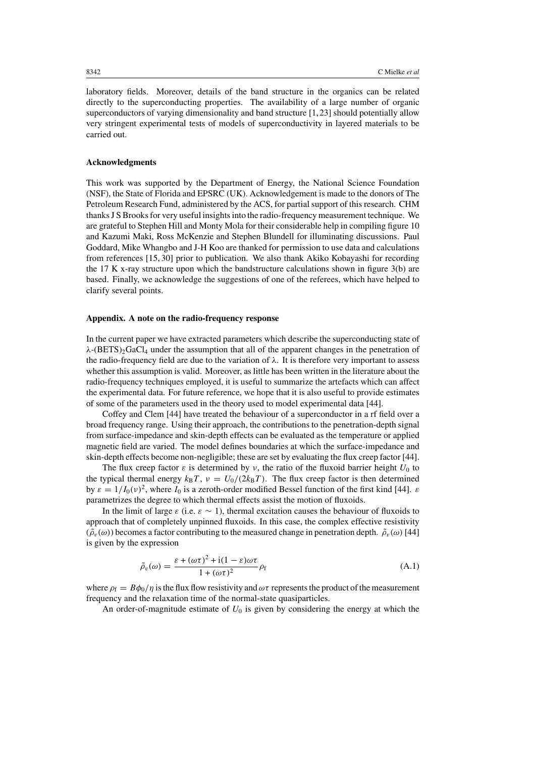laboratory fields. Moreover, details of the band structure in the organics can be related directly to the superconducting properties. The availability of a large number of organic superconductors of varying dimensionality and band structure [1,23] should potentially allow very stringent experimental tests of models of superconductivity in layered materials to be carried out.

## **Acknowledgments**

This work was supported by the Department of Energy, the National Science Foundation (NSF), the State of Florida and EPSRC (UK). Acknowledgement is made to the donors of The Petroleum Research Fund, administered by the ACS, for partial support of this research. CHM thanksJ S Brooksfor very useful insightsinto the radio-frequency measurement technique. We are grateful to Stephen Hill and Monty Mola for their considerable help in compiling figure 10 and Kazumi Maki, Ross McKenzie and Stephen Blundell for illuminating discussions. Paul Goddard, Mike Whangbo and J-H Koo are thanked for permission to use data and calculations from references [15, 30] prior to publication. We also thank Akiko Kobayashi for recording the 17 K x-ray structure upon which the bandstructure calculations shown in figure  $3(b)$  are based. Finally, we acknowledge the suggestions of one of the referees, which have helped to clarify several points.

### **Appendix. A note on the radio-frequency response**

In the current paper we have extracted parameters which describe the superconducting state of  $\lambda$ -(BETS)<sub>2</sub>GaCl<sub>4</sub> under the assumption that all of the apparent changes in the penetration of the radio-frequency field are due to the variation of  $\lambda$ . It is therefore very important to assess whether this assumption is valid. Moreover, as little has been written in the literature about the radio-frequency techniques employed, it is useful to summarize the artefacts which can affect the experimental data. For future reference, we hope that it is also useful to provide estimates of some of the parameters used in the theory used to model experimental data [44].

Coffey and Clem [44] have treated the behaviour of a superconductor in a rf field over a broad frequency range. Using their approach, the contributions to the penetration-depth signal from surface-impedance and skin-depth effects can be evaluated as the temperature or applied magnetic field are varied. The model defines boundaries at which the surface-impedance and skin-depth effects become non-negligible; these are set by evaluating the flux creep factor [44].

The flux creep factor  $\varepsilon$  is determined by v, the ratio of the fluxoid barrier height  $U_0$  to the typical thermal energy  $k_B T$ ,  $v = U_0/(2k_B T)$ . The flux creep factor is then determined by  $\varepsilon = 1/I_0(v)^2$ , where  $I_0$  is a zeroth-order modified Bessel function of the first kind [44].  $\varepsilon$ parametrizes the degree to which thermal effects assist the motion of fluxoids.

In the limit of large  $\varepsilon$  (i.e.  $\varepsilon \sim 1$ ), thermal excitation causes the behaviour of fluxoids to approach that of completely unpinned fluxoids. In this case, the complex effective resistivity  $(\tilde{\rho}_v(\omega))$  becomes a factor contributing to the measured change in penetration depth.  $\tilde{\rho}_v(\omega)$  [44] is given by the expression

$$
\tilde{\rho}_v(\omega) = \frac{\varepsilon + (\omega \tau)^2 + i(1 - \varepsilon)\omega \tau}{1 + (\omega \tau)^2} \rho_f
$$
\n(A.1)

where  $\rho_f = B\phi_0/\eta$  is the flux flow resistivity and  $\omega\tau$  represents the product of the measurement frequency and the relaxation time of the normal-state quasiparticles.

An order-of-magnitude estimate of  $U_0$  is given by considering the energy at which the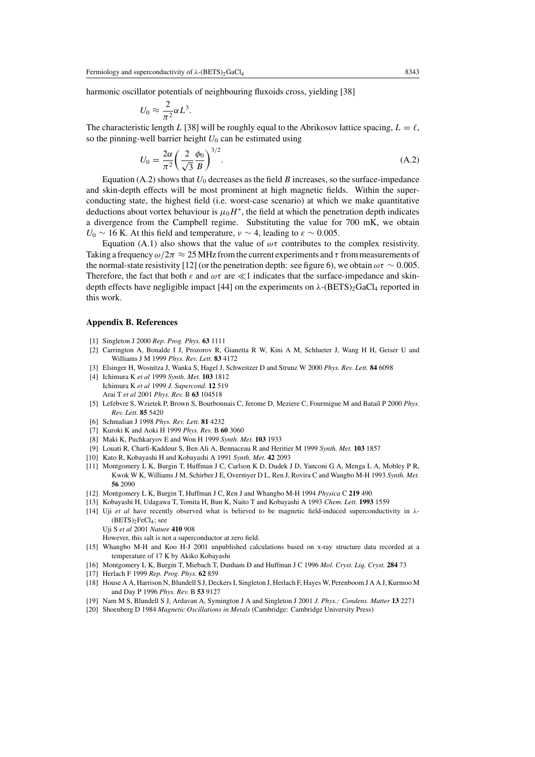harmonic oscillator potentials of neighbouring fluxoids cross, yielding [38]

$$
U_0 \approx \frac{2}{\pi^2} \alpha L^3.
$$

The characteristic length L [38] will be roughly equal to the Abrikosov lattice spacing,  $L = \ell$ , so the pinning-well barrier height  $U_0$  can be estimated using

$$
U_0 = \frac{2\alpha}{\pi^2} \left(\frac{2}{\sqrt{3}} \frac{\phi_0}{B}\right)^{3/2}.
$$
 (A.2)

Equation (A.2) shows that  $U_0$  decreases as the field B increases, so the surface-impedance and skin-depth effects will be most prominent at high magnetic fields. Within the superconducting state, the highest field (i.e. worst-case scenario) at which we make quantitative deductions about vortex behaviour is  $\mu_0H^*$ , the field at which the penetration depth indicates a divergence from the Campbell regime. Substituting the value for 700 mK, we obtain U<sub>0</sub> ∼ 16 K. At this field and temperature,  $v \sim 4$ , leading to  $\varepsilon \sim 0.005$ .

Equation (A.1) also shows that the value of  $\omega\tau$  contributes to the complex resistivity. Taking a frequency  $\omega/2\pi \approx 25$  MHz from the current experiments and  $\tau$  from measurements of the normal-state resistivity [12] (or the penetration depth: see figure 6), we obtain  $\omega \tau \sim 0.005$ . Therefore, the fact that both  $\varepsilon$  and  $\omega\tau$  are  $\ll$ 1 indicates that the surface-impedance and skindepth effects have negligible impact [44] on the experiments on  $\lambda$ -(BETS)<sub>2</sub>GaCl<sub>4</sub> reported in this work.

#### **Appendix B. References**

- [1] Singleton J 2000 *Rep. Prog. Phys.* **63** 1111
- [2] Carrington A, Bonalde I J, Prozorov R, Gianetta R W, Kini A M, Schlueter J, Wang H H, Geiser U and Williams J M 1999 *Phys. Rev. Lett.* **83** 4172
- [3] Elsinger H, Wosnitza J, Wanka S, Hagel J, Schweitzer D and Strunz W 2000 *Phys. Rev. Lett.* **84** 6098
- [4] Ichimura K *et al* 1999 *Synth. Met.* **103** 1812 Ichimura K *et al* 1999 *J. Supercond.* **12** 519 Arai T *et al* 2001 *Phys. Rev.* B **63** 104518
- [5] Lefebvre S, Wzietek P, Brown S, Bourbonnais C, Jerome D, Meziere C, Fourmigue M and Batail P 2000 *Phys. Rev. Lett.* **85** 5420
- [6] Schmalian J 1998 *Phys. Rev. Lett.* **81** 4232
- [7] Kuroki K and Aoki H 1999 *Phys. Rev.* B **60** 3060
- [8] Maki K, Puchkaryov E and Won H 1999 *Synth. Met.* **103** 1933
- [9] Louati R, Charfi-Kaddour S, Ben Ali A, Bennaceau R and Heritier M 1999 *Synth. Met.* **103** 1857
- [10] Kato R, Kobayashi H and Kobayashi A 1991 *Synth. Met.* **42** 2093
- [11] Montgomery L K, Burgin T, Huffman J C, Carlson K D, Dudek J D, Yanconi G A, Menga L A, Mobley P R, Kwok W K, Williams J M, Schirber J E, Overmyer D L, Ren J, Rovira C and Wangbo M-H 1993 *Synth. Met.* **56** 2090
- [12] Montgomery L K, Burgin T, Huffman J C, Ren J and Whangbo M-H 1994 *Physica* C **219** 490
- [13] Kobayashi H, Udagawa T, Tomita H, Bun K, Naito T and Kobayashi A 1993 *Chem. Lett.* **1993** 1559
- [14] Uji *et al* have recently observed what is believed to be magnetic field-induced superconductivity in λ-  $(BETS)_2FeCl_4$ ; see

Uji S *et al* 2001 *Nature* **410** 908

However, this salt is not a superconductor at zero field.

- [15] Whangbo M-H and Koo H-J 2001 unpublished calculations based on x-ray structure data recorded at a temperature of 17 K by Akiko Kobayashi
- [16] Montgomery L K, Burgin T, Miebach T, Dunham D and Huffman J C 1996 *Mol. Cryst. Liq. Cryst.* **284** 73
- [17] Herlach F 1999 *Rep. Prog. Phys.* **62** 859
- [18] House A A, Harrison N, Blundell S J, DeckersI, Singleton J, Herlach F, Hayes W, Perenboom J A A J, Kurmoo M and Day P 1996 *Phys. Rev.* B **53** 9127
- [19] Nam M S, Blundell S J, Ardavan A, Symington J A and Singleton J 2001 *J. Phys.: Condens. Matter* **13** 2271
- [20] Shoenberg D 1984 *Magnetic Oscillations in Metals* (Cambridge: Cambridge University Press)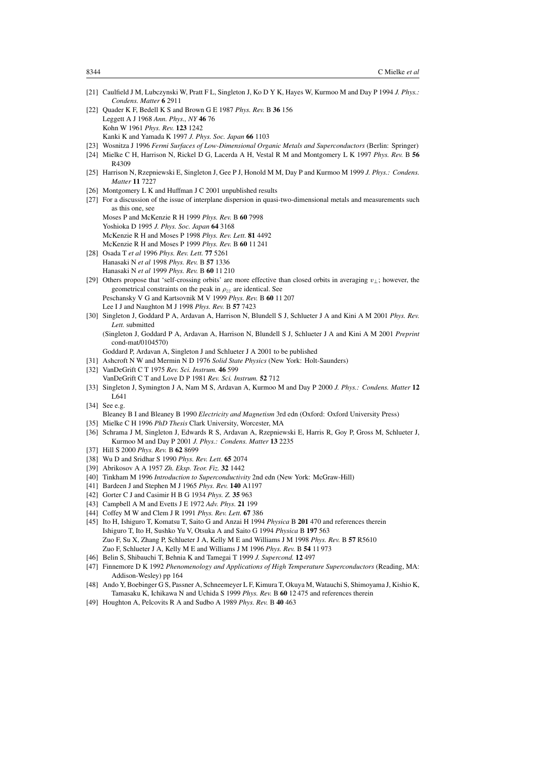- [21] Caulfield J M, Lubczynski W, Pratt F L, Singleton J, Ko D Y K, Hayes W, Kurmoo M and Day P 1994 *J. Phys.: Condens. Matter* **6** 2911
- [22] Quader K F, Bedell K S and Brown G E 1987 *Phys. Rev.* B **36** 156 Leggett A J 1968 *Ann. Phys., NY* **46** 76 Kohn W 1961 *Phys. Rev.* **123** 1242 Kanki K and Yamada K 1997 *J. Phys. Soc. Japan* **66** 1103
- [23] Wosnitza J 1996 *Fermi Surfaces of Low-Dimensional Organic Metals and Superconductors* (Berlin: Springer)
- [24] Mielke C H, Harrison N, Rickel D G, Lacerda A H, Vestal R M and Montgomery L K 1997 *Phys. Rev.* B **56** R4309
- [25] Harrison N, Rzepniewski E, Singleton J, Gee P J, Honold M M, Day P and Kurmoo M 1999 *J. Phys.: Condens. Matter* **11** 7227
- [26] Montgomery L K and Huffman J C 2001 unpublished results
- [27] For a discussion of the issue of interplane dispersion in quasi-two-dimensional metals and measurements such as this one, see
- Moses P and McKenzie R H 1999 *Phys. Rev.* B **60** 7998 Yoshioka D 1995 *J. Phys. Soc. Japan* **64** 3168 McKenzie R H and Moses P 1998 *Phys. Rev. Lett.* **81** 4492 McKenzie R H and Moses P 1999 *Phys. Rev.* B **60** 11 241
- [28] Osada T *et al* 1996 *Phys. Rev. Lett.* **77** 5261 Hanasaki N *et al* 1998 *Phys. Rev.* B **57** 1336 Hanasaki N *et al* 1999 *Phys. Rev.* B **60** 11 210
- [29] Others propose that 'self-crossing orbits' are more effective than closed orbits in averaging v⊥; however, the geometrical constraints on the peak in  $\rho_{zz}$  are identical. See Peschansky V G and Kartsovnik M V 1999 *Phys. Rev.* B **60** 11 207 Lee I J and Naughton M J 1998 *Phys. Rev.* B **57** 7423
- [30] Singleton J, Goddard P A, Ardavan A, Harrison N, Blundell S J, Schlueter J A and Kini A M 2001 *Phys. Rev. Lett.* submitted
	- (Singleton J, Goddard P A, Ardavan A, Harrison N, Blundell S J, Schlueter J A and Kini A M 2001 *Preprint* cond-mat/0104570)
	- Goddard P, Ardavan A, Singleton J and Schlueter J A 2001 to be published
- [31] Ashcroft N W and Mermin N D 1976 *Solid State Physics* (New York: Holt-Saunders)
- [32] VanDeGrift C T 1975 *Rev. Sci. Instrum.* **46** 599
- VanDeGrift C T and Love D P 1981 *Rev. Sci. Instrum.* **52** 712
- [33] Singleton J, Symington J A, Nam M S, Ardavan A, Kurmoo M and Day P 2000 *J. Phys.: Condens. Matter* **12** L641
- [34] See e.g.

Bleaney B I and Bleaney B 1990 *Electricity and Magnetism* 3rd edn (Oxford: Oxford University Press) [35] Mielke C H 1996 *PhD Thesis* Clark University, Worcester, MA

- [36] Schrama J M, Singleton J, Edwards R S, Ardavan A, Rzepniewski E, Harris R, Goy P, Gross M, Schlueter J, Kurmoo M and Day P 2001 *J. Phys.: Condens. Matter* **13** 2235
- [37] Hill S 2000 *Phys. Rev.* B **62** 8699
- [38] Wu D and Sridhar S 1990 *Phys. Rev. Lett.* **65** 2074
- [39] Abrikosov A A 1957 *Zh. Eksp. Teor. Fiz.* **32** 1442
- [40] Tinkham M 1996 *Introduction to Superconductivity* 2nd edn (New York: McGraw-Hill)
- [41] Bardeen J and Stephen M J 1965 *Phys. Rev.* **140** A1197
- [42] Gorter C J and Casimir H B G 1934 *Phys. Z.* **35** 963
- [43] Campbell A M and Evetts J E 1972 *Adv. Phys.* **21** 199
- [44] Coffey M W and Clem J R 1991 *Phys. Rev. Lett.* **67** 386
- [45] Ito H, Ishiguro T, Komatsu T, Saito G and Anzai H 1994 *Physica* B **201** 470 and references therein Ishiguro T, Ito H, Sushko Yu V, Otsuka A and Saito G 1994 *Physica* B **197** 563 Zuo F, Su X, Zhang P, Schlueter J A, Kelly M E and Williams J M 1998 *Phys. Rev.* B **57** R5610 Zuo F, Schlueter J A, Kelly M E and Williams J M 1996 *Phys. Rev.* B **54** 11 973
- [46] Belin S, Shibauchi T, Behnia K and Tamegai T 1999 *J. Supercond.* **12** 497
- [47] Finnemore D K 1992 *Phenomenology and Applications of High Temperature Superconductors* (Reading, MA: Addison-Wesley) pp 164
- [48] Ando Y, Boebinger G S, Passner A, Schneemeyer L F, Kimura T, Okuya M, Watauchi S, Shimoyama J, Kishio K, Tamasaku K, Ichikawa N and Uchida S 1999 *Phys. Rev.* B **60** 12 475 and references therein
- [49] Houghton A, Pelcovits R A and Sudbo A 1989 *Phys. Rev.* B **40** 463